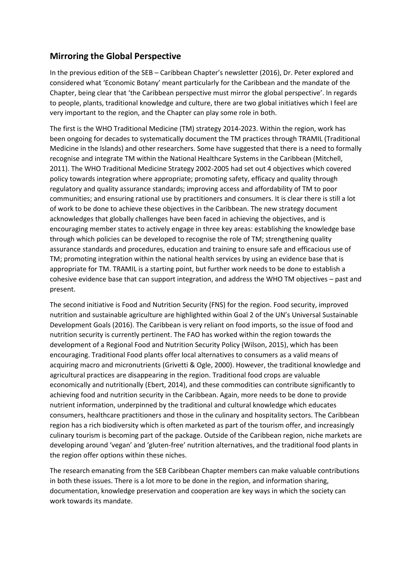## **Mirroring the Global Perspective**

In the previous edition of the SEB – Caribbean Chapter's newsletter (2016), Dr. Peter explored and considered what 'Economic Botany' meant particularly for the Caribbean and the mandate of the Chapter, being clear that 'the Caribbean perspective must mirror the global perspective'. In regards to people, plants, traditional knowledge and culture, there are two global initiatives which I feel are very important to the region, and the Chapter can play some role in both.

The first is the WHO Traditional Medicine (TM) strategy 2014-2023. Within the region, work has been ongoing for decades to systematically document the TM practices through TRAMIL (Traditional Medicine in the Islands) and other researchers. Some have suggested that there is a need to formally recognise and integrate TM within the National Healthcare Systems in the Caribbean (Mitchell, 2011). The WHO Traditional Medicine Strategy 2002-2005 had set out 4 objectives which covered policy towards integration where appropriate; promoting safety, efficacy and quality through regulatory and quality assurance standards; improving access and affordability of TM to poor communities; and ensuring rational use by practitioners and consumers. It is clear there is still a lot of work to be done to achieve these objectives in the Caribbean. The new strategy document acknowledges that globally challenges have been faced in achieving the objectives, and is encouraging member states to actively engage in three key areas: establishing the knowledge base through which policies can be developed to recognise the role of TM; strengthening quality assurance standards and procedures, education and training to ensure safe and efficacious use of TM; promoting integration within the national health services by using an evidence base that is appropriate for TM. TRAMIL is a starting point, but further work needs to be done to establish a cohesive evidence base that can support integration, and address the WHO TM objectives – past and present.

The second initiative is Food and Nutrition Security (FNS) for the region. Food security, improved nutrition and sustainable agriculture are highlighted within Goal 2 of the UN's Universal Sustainable Development Goals (2016). The Caribbean is very reliant on food imports, so the issue of food and nutrition security is currently pertinent. The FAO has worked within the region towards the development of a Regional Food and Nutrition Security Policy (Wilson, 2015), which has been encouraging. Traditional Food plants offer local alternatives to consumers as a valid means of acquiring macro and micronutrients (Grivetti & Ogle, 2000). However, the traditional knowledge and agricultural practices are disappearing in the region. Traditional food crops are valuable economically and nutritionally (Ebert, 2014), and these commodities can contribute significantly to achieving food and nutrition security in the Caribbean. Again, more needs to be done to provide nutrient information, underpinned by the traditional and cultural knowledge which educates consumers, healthcare practitioners and those in the culinary and hospitality sectors. The Caribbean region has a rich biodiversity which is often marketed as part of the tourism offer, and increasingly culinary tourism is becoming part of the package. Outside of the Caribbean region, niche markets are developing around 'vegan' and 'gluten-free' nutrition alternatives, and the traditional food plants in the region offer options within these niches.

The research emanating from the SEB Caribbean Chapter members can make valuable contributions in both these issues. There is a lot more to be done in the region, and information sharing, documentation, knowledge preservation and cooperation are key ways in which the society can work towards its mandate.